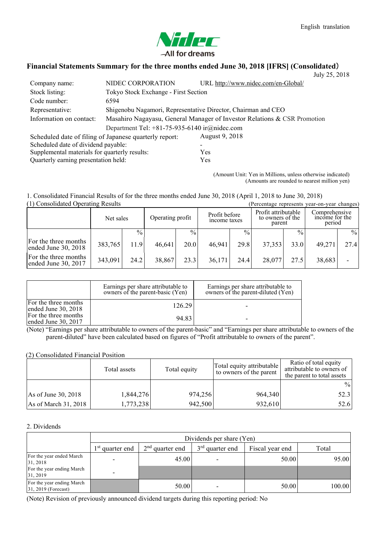

# **Financial Statements Summary for the three months ended June 30, 2018 [IFRS] (Consolidated**)

|                                                        |                                                               |                                                                          | July 25, 2018 |  |  |
|--------------------------------------------------------|---------------------------------------------------------------|--------------------------------------------------------------------------|---------------|--|--|
| Company name:                                          | NIDEC CORPORATION                                             | URL http://www.nidec.com/en-Global/                                      |               |  |  |
| Stock listing:                                         | Tokyo Stock Exchange - First Section                          |                                                                          |               |  |  |
| Code number:                                           | 6594                                                          |                                                                          |               |  |  |
| Representative:                                        | Shigenobu Nagamori, Representative Director, Chairman and CEO |                                                                          |               |  |  |
| Information on contact:                                |                                                               | Masahiro Nagayasu, General Manager of Investor Relations & CSR Promotion |               |  |  |
|                                                        | Department Tel: $+81-75-935-6140$ ir $@$ nidec.com            |                                                                          |               |  |  |
| Scheduled date of filing of Japanese quarterly report: |                                                               | August 9, 2018                                                           |               |  |  |
| Scheduled date of dividend payable:                    |                                                               |                                                                          |               |  |  |
| Supplemental materials for quarterly results:          |                                                               | Yes                                                                      |               |  |  |
| Quarterly earning presentation held:                   |                                                               | Yes                                                                      |               |  |  |
|                                                        |                                                               |                                                                          |               |  |  |

(Amount Unit: Yen in Millions, unless otherwise indicated) (Amounts are rounded to nearest million yen)

#### 1. Consolidated Financial Results of for the three months ended June 30, 2018 (April 1, 2018 to June 30, 2018)  $(1)$  Consolidated Operating Results

| 1) Consolidated Operating Results             |           |               |                  |               | Percentage represents vear-on-vear changes |               |                                                   |               |                                           |               |
|-----------------------------------------------|-----------|---------------|------------------|---------------|--------------------------------------------|---------------|---------------------------------------------------|---------------|-------------------------------------------|---------------|
|                                               | Net sales |               | Operating profit |               | Profit before<br>income taxes              |               | Profit attributable<br>to owners of the<br>parent |               | Comprehensive<br>income for the<br>period |               |
|                                               |           | $\frac{0}{0}$ |                  | $\frac{0}{0}$ |                                            | $\frac{0}{0}$ |                                                   | $\frac{0}{0}$ |                                           | $\frac{0}{0}$ |
| For the three months<br>ended June $30, 2018$ | 383,765   | 11.9          | 46,641           | 20.0          | 46.941                                     | 29.8          | 37,353                                            | 33.0          | 49,271                                    | 27.4          |
| For the three months<br>ended June $30, 2017$ | 343,091   | 24.2          | 38,867           | 23.3          | 36,171                                     | 24.4          | 28,077                                            | 27.5          | 38,683                                    |               |

|                                               | Earnings per share attributable to<br>owners of the parent-basic (Yen) | Earnings per share attributable to<br>owners of the parent-diluted (Yen) |
|-----------------------------------------------|------------------------------------------------------------------------|--------------------------------------------------------------------------|
| For the three months<br>ended June $30, 2018$ | 126.29                                                                 |                                                                          |
| For the three months<br>ended June $30, 2017$ | 94.83                                                                  |                                                                          |

(Note) "Earnings per share attributable to owners of the parent-basic" and "Earnings per share attributable to owners of the parent-diluted" have been calculated based on figures of "Profit attributable to owners of the parent".

## (2) Consolidated Financial Position

|                      | Total assets | Total equity | Total equity attributable<br>to owners of the parent | Ratio of total equity<br>attributable to owners of<br>the parent to total assets |
|----------------------|--------------|--------------|------------------------------------------------------|----------------------------------------------------------------------------------|
|                      |              |              |                                                      | $\frac{0}{0}$                                                                    |
| As of June 30, 2018  | 1,844,276    | 974,256      | 964,340                                              | 52.3                                                                             |
| As of March 31, 2018 | 1,773,238    | 942,500      | 932,610                                              | 52.6                                                                             |

#### 2. Dividends

|                                                    |                   | Dividends per share (Yen) |                   |                 |        |  |  |  |  |
|----------------------------------------------------|-------------------|---------------------------|-------------------|-----------------|--------|--|--|--|--|
|                                                    | $1st$ quarter end | $2nd$ quarter end         | $3rd$ quarter end | Fiscal year end | Total  |  |  |  |  |
| For the year ended March<br>31, 2018               |                   | 45.00                     |                   | 50.00           | 95.00  |  |  |  |  |
| For the year ending March<br>31, 2019              |                   |                           |                   |                 |        |  |  |  |  |
| For the year ending March<br>$31, 2019$ (Forecast) |                   | 50.00                     |                   | 50.00           | 100.00 |  |  |  |  |

(Note) Revision of previously announced dividend targets during this reporting period: No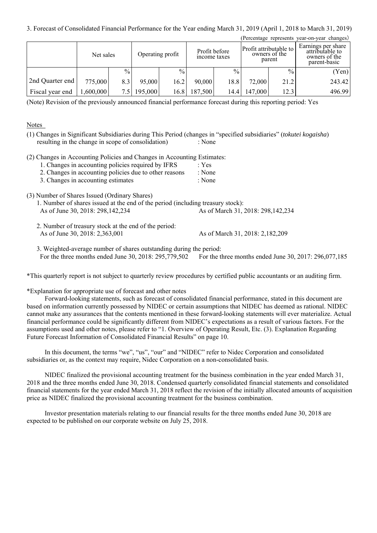3. Forecast of Consolidated Financial Performance for the Year ending March 31, 2019 (April 1, 2018 to March 31, 2019)

|                 |           |      |                  |               |                               |      |                                                   |               | (Percentage represents year-on-year changes)                           |
|-----------------|-----------|------|------------------|---------------|-------------------------------|------|---------------------------------------------------|---------------|------------------------------------------------------------------------|
|                 | Net sales |      | Operating profit |               | Profit before<br>income taxes |      | Profit attributable to<br>owners of the<br>parent |               | Earnings per share<br>attributable to<br>owners of the<br>parent-basic |
|                 |           | $\%$ |                  | $\frac{0}{0}$ |                               | $\%$ |                                                   | $\frac{0}{0}$ | (Yen)                                                                  |
| 2nd Quarter end | 775,000   | 8.3  | 95,000           | 16.2          | 90,000                        | 18.8 | 72,000                                            | 21.2          | 243.42                                                                 |
| Fiscal year end | ,600,000  | 7.5  | 195,000          | 16.8          | 187,500                       | 14.4 | 147,000                                           | 12.3          | 496.99                                                                 |

(Note) Revision of the previously announced financial performance forecast during this reporting period: Yes

### Notes

(1) Changes in Significant Subsidiaries during This Period (changes in "specified subsidiaries" (*tokutei kogaisha*) resulting in the change in scope of consolidation) : None

(2) Changes in Accounting Policies and Changes in Accounting Estimates:

| 1. Changes in accounting policies required by IFRS |                                                        | : Yes  |
|----------------------------------------------------|--------------------------------------------------------|--------|
|                                                    | 2. Changes in accounting policies due to other reasons | : None |

| 2. Changes in accounting policies and to other reasons |        |
|--------------------------------------------------------|--------|
| 3. Changes in accounting estimates                     | : None |

(3) Number of Shares Issued (Ordinary Shares)

| 1. Number of shares issued at the end of the period (including treasury stock): |                                     |
|---------------------------------------------------------------------------------|-------------------------------------|
| As of June 30, 2018: 298, 142, 234                                              | As of March 31, 2018: 298, 142, 234 |

2. Number of treasury stock at the end of the period: As of June 30, 2018: 2,363,001 As of March 31, 2018: 2,182,209

3. Weighted-average number of shares outstanding during the period: For the three months ended June 30, 2018: 295,779,502 For the three months ended June 30, 2017: 296,077,185

\*This quarterly report is not subject to quarterly review procedures by certified public accountants or an auditing firm.

\*Explanation for appropriate use of forecast and other notes

Forward-looking statements, such as forecast of consolidated financial performance, stated in this document are based on information currently possessed by NIDEC or certain assumptions that NIDEC has deemed as rational. NIDEC cannot make any assurances that the contents mentioned in these forward-looking statements will ever materialize. Actual financial performance could be significantly different from NIDEC's expectations as a result of various factors. For the assumptions used and other notes, please refer to "1. Overview of Operating Result, Etc. (3). Explanation Regarding Future Forecast Information of Consolidated Financial Results" on page 10.

In this document, the terms "we", "us", "our" and "NIDEC" refer to Nidec Corporation and consolidated subsidiaries or, as the context may require, Nidec Corporation on a non-consolidated basis.

NIDEC finalized the provisional accounting treatment for the business combination in the year ended March 31, 2018 and the three months ended June 30, 2018. Condensed quarterly consolidated financial statements and consolidated financial statements for the year ended March 31, 2018 reflect the revision of the initially allocated amounts of acquisition price as NIDEC finalized the provisional accounting treatment for the business combination.

Investor presentation materials relating to our financial results for the three months ended June 30, 2018 are expected to be published on our corporate website on July 25, 2018.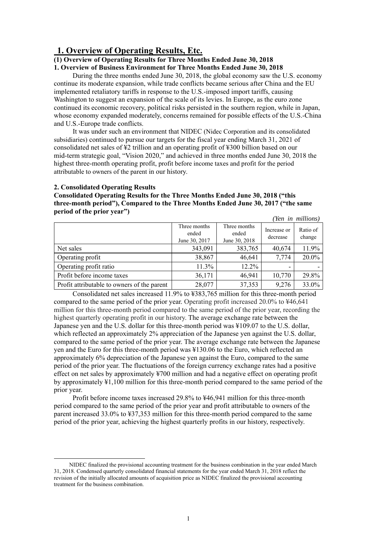# **1. Overview of Operating Results, Etc.**

**(1) Overview of Operating Results for Three Months Ended June 30, 2018** 

**1. Overview of Business Environment for Three Months Ended June 30, 2018** 

During the three months ended June 30, 2018, the global economy saw the U.S. economy continue its moderate expansion, while trade conflicts became serious after China and the EU implemented retaliatory tariffs in response to the U.S.-imposed import tariffs, causing Washington to suggest an expansion of the scale of its levies. In Europe, as the euro zone continued its economic recovery, political risks persisted in the southern region, while in Japan, whose economy expanded moderately, concerns remained for possible effects of the U.S.-China and U.S.-Europe trade conflicts.

It was under such an environment that NIDEC (Nidec Corporation and its consolidated subsidiaries) continued to pursue our targets for the fiscal year ending March 31, 2021 of consolidated net sales of ¥2 trillion and an operating profit of ¥300 billion based on our mid-term strategic goal, "Vision 2020," and achieved in three months ended June 30, 2018 the highest three-month operating profit, profit before income taxes and profit for the period attributable to owners of the parent in our history.

#### **2. Consolidated Operating Results**

-

**Consolidated Operating Results for the Three Months Ended June 30, 2018 ("this three-month period"), Compared to the Three Months Ended June 30, 2017 ("the same period of the prior year")** 

|                                             |                                        |                                        |                         | (Yen in millions)  |
|---------------------------------------------|----------------------------------------|----------------------------------------|-------------------------|--------------------|
|                                             | Three months<br>ended<br>June 30, 2017 | Three months<br>ended<br>June 30, 2018 | Increase or<br>decrease | Ratio of<br>change |
| Net sales                                   | 343,091                                | 383,765                                | 40,674                  | 11.9%              |
| Operating profit                            | 38,867                                 | 46,641                                 | 7,774                   | 20.0%              |
| Operating profit ratio                      | 11.3%                                  | $12.2\%$                               |                         |                    |
| Profit before income taxes                  | 36,171                                 | 46,941                                 | 10,770                  | 29.8%              |
| Profit attributable to owners of the parent | 28,077                                 | 37,353                                 | 9,276                   | 33.0%              |

Consolidated net sales increased 11.9% to ¥383,765 million for this three-month period compared to the same period of the prior year. Operating profit increased  $20.0\%$  to  $\frac{1}{2}46.641$ million for this three-month period compared to the same period of the prior year, recording the highest quarterly operating profit in our history. The average exchange rate between the Japanese yen and the U.S. dollar for this three-month period was ¥109.07 to the U.S. dollar, which reflected an approximately 2% appreciation of the Japanese yen against the U.S. dollar, compared to the same period of the prior year. The average exchange rate between the Japanese yen and the Euro for this three-month period was ¥130.06 to the Euro, which reflected an approximately 6% depreciation of the Japanese yen against the Euro, compared to the same period of the prior year. The fluctuations of the foreign currency exchange rates had a positive effect on net sales by approximately ¥700 million and had a negative effect on operating profit by approximately ¥1,100 million for this three-month period compared to the same period of the prior year.

Profit before income taxes increased 29.8% to ¥46,941 million for this three-month period compared to the same period of the prior year and profit attributable to owners of the parent increased 33.0% to ¥37,353 million for this three-month period compared to the same period of the prior year, achieving the highest quarterly profits in our history, respectively. <sup>1</sup>

NIDEC finalized the provisional accounting treatment for the business combination in the year ended March 31, 2018. Condensed quarterly consolidated financial statements for the year ended March 31, 2018 reflect the revision of the initially allocated amounts of acquisition price as NIDEC finalized the provisional accounting treatment for the business combination.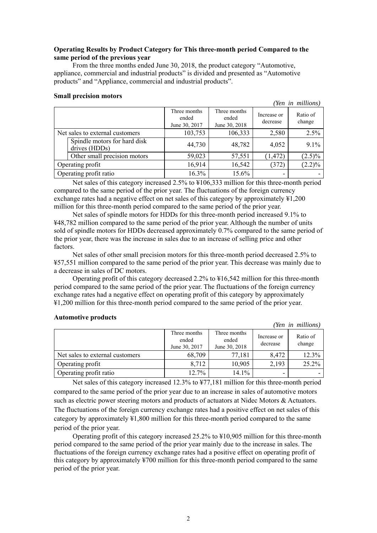## **Operating Results by Product Category for This three-month period Compared to the same period of the previous year**

From the three months ended June 30, 2018, the product category "Automotive, appliance, commercial and industrial products" is divided and presented as "Automotive products" and "Appliance, commercial and industrial products".

#### **Small precision motors**

*(Yen in millions)*

*(Yen in millions)* 

|                        |                                               | Three months<br>ended<br>June 30, 2017 | Three months<br>ended<br>June 30, 2018 | Increase or<br>decrease | Ratio of<br>change |
|------------------------|-----------------------------------------------|----------------------------------------|----------------------------------------|-------------------------|--------------------|
|                        | Net sales to external customers               | 103,753                                | 106,333                                | 2,580                   | 2.5%               |
|                        | Spindle motors for hard disk<br>drives (HDDs) | 44,730                                 | 48,782                                 | 4,052                   | 9.1%               |
|                        | Other small precision motors                  | 59,023                                 | 57,551                                 | (1, 472)                | $(2.5)\%$          |
|                        | Operating profit                              | 16,914                                 | 16,542                                 | (372)                   | $(2.2)\%$          |
| Operating profit ratio |                                               | 16.3%                                  | 15.6%                                  |                         |                    |

Net sales of this category increased 2.5% to ¥106,333 million for this three-month period compared to the same period of the prior year. The fluctuations of the foreign currency exchange rates had a negative effect on net sales of this category by approximately ¥1,200 million for this three-month period compared to the same period of the prior year.

Net sales of spindle motors for HDDs for this three-month period increased 9.1% to ¥48,782 million compared to the same period of the prior year. Although the number of units sold of spindle motors for HDDs decreased approximately 0.7% compared to the same period of the prior year, there was the increase in sales due to an increase of selling price and other factors.

Net sales of other small precision motors for this three-month period decreased 2.5% to ¥57,551 million compared to the same period of the prior year. This decrease was mainly due to a decrease in sales of DC motors.

Operating profit of this category decreased 2.2% to ¥16,542 million for this three-month period compared to the same period of the prior year. The fluctuations of the foreign currency exchange rates had a negative effect on operating profit of this category by approximately ¥1,200 million for this three-month period compared to the same period of the prior year.

#### **Automotive products**

|                                 |                                        |                                        |                         | TCh he mundi       |
|---------------------------------|----------------------------------------|----------------------------------------|-------------------------|--------------------|
|                                 | Three months<br>ended<br>June 30, 2017 | Three months<br>ended<br>June 30, 2018 | Increase or<br>decrease | Ratio of<br>change |
| Net sales to external customers | 68,709                                 | 77,181                                 | 8,472                   | 12.3%              |
| Operating profit                | 8.712                                  | 10,905                                 | 2,193                   | 25.2%              |
| Operating profit ratio          | 12.7%                                  | $14.1\%$                               | -                       |                    |

Net sales of this category increased 12.3% to ¥77,181 million for this three-month period compared to the same period of the prior year due to an increase in sales of automotive motors such as electric power steering motors and products of actuators at Nidec Motors & Actuators. The fluctuations of the foreign currency exchange rates had a positive effect on net sales of this category by approximately ¥1,800 million for this three-month period compared to the same period of the prior year.

Operating profit of this category increased  $25.2\%$  to  $\frac{1}{2}10,905$  million for this three-month period compared to the same period of the prior year mainly due to the increase in sales. The fluctuations of the foreign currency exchange rates had a positive effect on operating profit of this category by approximately ¥700 million for this three-month period compared to the same period of the prior year.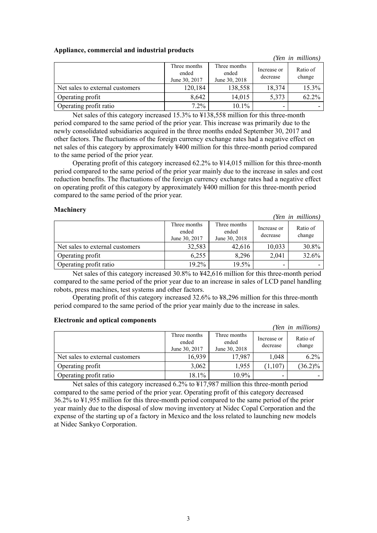| Appliance, commercial and industrial products |  |  |
|-----------------------------------------------|--|--|
|                                               |  |  |

|                                 |                                        |                                        |                         | (Yen in millions)  |
|---------------------------------|----------------------------------------|----------------------------------------|-------------------------|--------------------|
|                                 | Three months<br>ended<br>June 30, 2017 | Three months<br>ended<br>June 30, 2018 | Increase or<br>decrease | Ratio of<br>change |
| Net sales to external customers | 120,184                                | 138,558                                | 18,374                  | 15.3%              |
| Operating profit                | 8,642                                  | 14,015                                 | 5,373                   | 62.2%              |
| Operating profit ratio          | $7.2\%$                                | 10.1%                                  |                         |                    |

Net sales of this category increased 15.3% to ¥138,558 million for this three-month period compared to the same period of the prior year. This increase was primarily due to the newly consolidated subsidiaries acquired in the three months ended September 30, 2017 and other factors. The fluctuations of the foreign currency exchange rates had a negative effect on net sales of this category by approximately ¥400 million for this three-month period compared to the same period of the prior year.

Operating profit of this category increased 62.2% to ¥14,015 million for this three-month period compared to the same period of the prior year mainly due to the increase in sales and cost reduction benefits. The fluctuations of the foreign currency exchange rates had a negative effect on operating profit of this category by approximately ¥400 million for this three-month period compared to the same period of the prior year.

## **Machinery**

|                                 |                                        |                                        |                         | (Yen in millions)  |
|---------------------------------|----------------------------------------|----------------------------------------|-------------------------|--------------------|
|                                 | Three months<br>ended<br>June 30, 2017 | Three months<br>ended<br>June 30, 2018 | Increase or<br>decrease | Ratio of<br>change |
| Net sales to external customers | 32,583                                 | 42,616                                 | 10,033                  | 30.8%              |
| Operating profit                | 6,255                                  | 8,296                                  | 2,041                   | 32.6%              |
| Operating profit ratio          | 19.2%                                  | 19.5%                                  |                         |                    |

Net sales of this category increased 30.8% to ¥42,616 million for this three-month period compared to the same period of the prior year due to an increase in sales of LCD panel handling robots, press machines, test systems and other factors.

Operating profit of this category increased 32.6% to ¥8,296 million for this three-month period compared to the same period of the prior year mainly due to the increase in sales.

#### **Electronic and optical components**

|                                 |                                        |                                        |                         | (Yen in millions)  |
|---------------------------------|----------------------------------------|----------------------------------------|-------------------------|--------------------|
|                                 | Three months<br>ended<br>June 30, 2017 | Three months<br>ended<br>June 30, 2018 | Increase or<br>decrease | Ratio of<br>change |
| Net sales to external customers | 16,939                                 | 17,987                                 | 1,048                   | 6.2%               |
| Operating profit                | 3,062                                  | 1,955                                  | (1,107)                 | $(36.2)\%$         |
| Operating profit ratio          | 18.1%                                  | 10.9%                                  | -                       |                    |

Net sales of this category increased 6.2% to ¥17,987 million this three-month period compared to the same period of the prior year. Operating profit of this category decreased 36.2% to ¥1,955 million for this three-month period compared to the same period of the prior year mainly due to the disposal of slow moving inventory at Nidec Copal Corporation and the expense of the starting up of a factory in Mexico and the loss related to launching new models at Nidec Sankyo Corporation.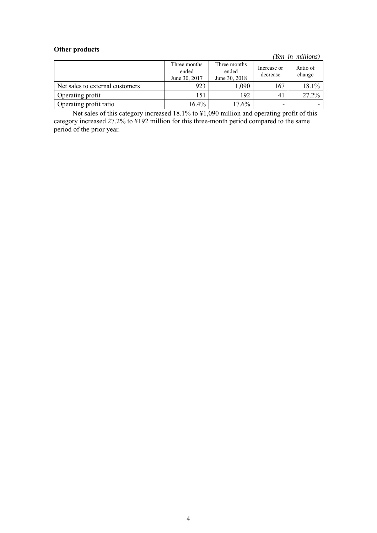# **Other products**

*(Yen in millions)*

|                                 | Three months<br>ended<br>June 30, 2017 | Three months<br>ended<br>June 30, 2018 | Increase or<br>decrease | Ratio of<br>change |
|---------------------------------|----------------------------------------|----------------------------------------|-------------------------|--------------------|
| Net sales to external customers | 923                                    | ,090                                   | 167                     | 18.1%              |
| Operating profit                | 151                                    | 192                                    | 41                      | 27.2%              |
| Operating profit ratio          | 16.4%                                  | $17.6\%$                               | -                       |                    |

Net sales of this category increased 18.1% to ¥1,090 million and operating profit of this category increased 27.2% to ¥192 million for this three-month period compared to the same period of the prior year.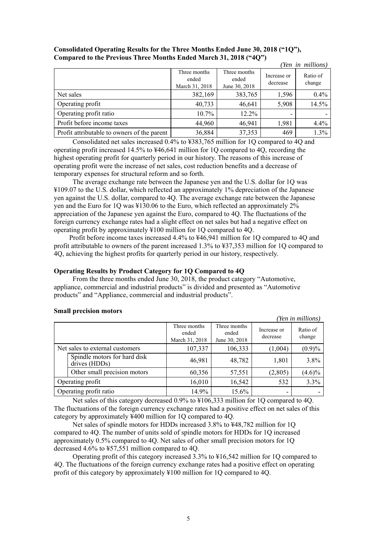|                                             |                                         |                                        |                         | (Yen in millions)  |
|---------------------------------------------|-----------------------------------------|----------------------------------------|-------------------------|--------------------|
|                                             | Three months<br>ended<br>March 31, 2018 | Three months<br>ended<br>June 30, 2018 | Increase or<br>decrease | Ratio of<br>change |
| Net sales                                   | 382,169                                 | 383,765                                | 1,596                   | 0.4%               |
| Operating profit                            | 40,733                                  | 46,641                                 | 5,908                   | 14.5%              |
| Operating profit ratio                      | $10.7\%$                                | $12.2\%$                               |                         |                    |
| Profit before income taxes                  | 44,960                                  | 46,941                                 | 1,981                   | 4.4%               |
| Profit attributable to owners of the parent | 36,884                                  | 37,353                                 | 469                     | 1.3%               |

## **Consolidated Operating Results for the Three Months Ended June 30, 2018 ("1Q"), Compared to the Previous Three Months Ended March 31, 2018 ("4Q")**

Consolidated net sales increased 0.4% to ¥383,765 million for 1Q compared to 4Q and operating profit increased 14.5% to ¥46,641 million for 1Q compared to 4Q, recording the highest operating profit for quarterly period in our history. The reasons of this increase of operating profit were the increase of net sales, cost reduction benefits and a decrease of temporary expenses for structural reform and so forth.

The average exchange rate between the Japanese yen and the U.S. dollar for 1Q was ¥109.07 to the U.S. dollar, which reflected an approximately 1% depreciation of the Japanese yen against the U.S. dollar, compared to 4Q. The average exchange rate between the Japanese yen and the Euro for 1Q was ¥130.06 to the Euro, which reflected an approximately 2% appreciation of the Japanese yen against the Euro, compared to 4Q. The fluctuations of the foreign currency exchange rates had a slight effect on net sales but had a negative effect on operating profit by approximately ¥100 million for 1Q compared to 4Q.

Profit before income taxes increased 4.4% to ¥46,941 million for 1Q compared to 4Q and profit attributable to owners of the parent increased 1.3% to ¥37,353 million for 1Q compared to 4Q, achieving the highest profits for quarterly period in our history, respectively.

# **Operating Results by Product Category for 1Q Compared to 4Q**

From the three months ended June 30, 2018, the product category "Automotive, appliance, commercial and industrial products" is divided and presented as "Automotive products" and "Appliance, commercial and industrial products".

# **Small precision motors**

*(Yen in millions)* 

|                                               | Three months<br>ended<br>March 31, 2018 | Three months<br>ended<br>June 30, 2018 | Increase or<br>decrease | Ratio of<br>change |
|-----------------------------------------------|-----------------------------------------|----------------------------------------|-------------------------|--------------------|
| Net sales to external customers               | 107,337                                 | 106,333                                | (1,004)                 | (0.9)%             |
| Spindle motors for hard disk<br>drives (HDDs) | 46,981                                  | 48,782                                 | 1,801                   | 3.8%               |
| Other small precision motors                  | 60,356                                  | 57,551                                 | (2,805)                 | $(4.6)\%$          |
| Operating profit                              | 16,010                                  | 16,542                                 | 532                     | 3.3%               |
| Operating profit ratio                        | 14.9%                                   | 15.6%                                  | ٠                       |                    |

Net sales of this category decreased 0.9% to ¥106,333 million for 1Q compared to 4Q. The fluctuations of the foreign currency exchange rates had a positive effect on net sales of this category by approximately ¥400 million for 1Q compared to 4Q.

Net sales of spindle motors for HDDs increased 3.8% to ¥48,782 million for 1Q compared to 4Q. The number of units sold of spindle motors for HDDs for 1Q increased approximately 0.5% compared to 4Q. Net sales of other small precision motors for 1Q decreased 4.6% to ¥57,551 million compared to 4Q.

Operating profit of this category increased 3.3% to ¥16,542 million for 1Q compared to 4Q. The fluctuations of the foreign currency exchange rates had a positive effect on operating profit of this category by approximately ¥100 million for 1Q compared to 4Q.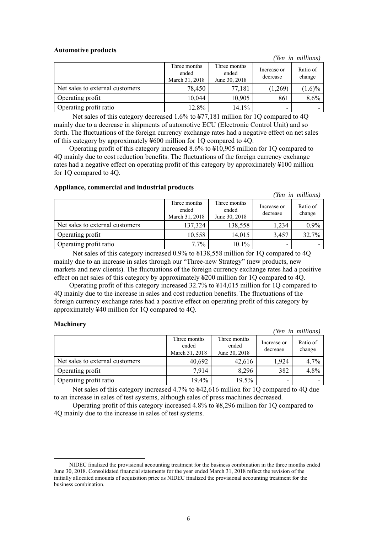#### **Automotive products**

Three months ended March 31, 2018 Three months ended June 30, 2018 Increase or decrease Ratio of change Net sales to external customers  $\begin{array}{|c|c|c|c|c|c|c|c|c|} \hline \end{array}$  78,450  $\begin{array}{|c|c|c|c|c|c|c|c|} \hline \end{array}$  77,181  $\begin{array}{|c|c|c|c|c|c|c|c|c|} \hline \end{array}$  (1.6)% Operating profit 10,044 10,905 861 8.6% Operating profit ratio  $12.8\%$  |  $14.1\%$ 

Net sales of this category decreased 1.6% to ¥77,181 million for 1Q compared to 4Q mainly due to a decrease in shipments of automotive ECU (Electronic Control Unit) and so forth. The fluctuations of the foreign currency exchange rates had a negative effect on net sales of this category by approximately ¥600 million for 1Q compared to 4Q.

Operating profit of this category increased 8.6% to ¥10,905 million for 1Q compared to 4Q mainly due to cost reduction benefits. The fluctuations of the foreign currency exchange rates had a negative effect on operating profit of this category by approximately ¥100 million for 1Q compared to 4Q.

#### **Appliance, commercial and industrial products**

Three months ended March 31, 2018 Three months ended June 30, 2018 Increase or decrease Ratio of change Net sales to external customers 137,324 138,558 1,234 0.9% Operating profit 10,558 14,015 3,457 32.7% Operating profit ratio  $7.7\%$   $|$   $10.1\%$ 

Net sales of this category increased 0.9% to ¥138,558 million for 1Q compared to 4Q mainly due to an increase in sales through our "Three-new Strategy" (new products, new markets and new clients). The fluctuations of the foreign currency exchange rates had a positive effect on net sales of this category by approximately ¥200 million for 1Q compared to 4Q.

Operating profit of this category increased 32.7% to ¥14,015 million for 1Q compared to 4Q mainly due to the increase in sales and cost reduction benefits. The fluctuations of the foreign currency exchange rates had a positive effect on operating profit of this category by approximately ¥40 million for 1Q compared to 4Q.

# **Machinery**

-

|                                 |                                         |                                        |                         | (Yen in millions)  |
|---------------------------------|-----------------------------------------|----------------------------------------|-------------------------|--------------------|
|                                 | Three months<br>ended<br>March 31, 2018 | Three months<br>ended<br>June 30, 2018 | Increase or<br>decrease | Ratio of<br>change |
| Net sales to external customers | 40,692                                  | 42,616                                 | 1,924                   | 4.7%               |
| Operating profit                | 7.914                                   | 8,296                                  | 382                     | 4.8%               |
| Operating profit ratio          | $19.4\%$                                | 19.5%                                  |                         |                    |

Net sales of this category increased 4.7% to ¥42,616 million for 1Q compared to 4Q due to an increase in sales of test systems, although sales of press machines decreased.

Operating profit of this category increased 4.8% to ¥8,296 million for 1Q compared to 4Q mainly due to the increase in sales of test systems.<sup>2</sup>

*(Yen in millions)* 

*(Yen in millions)* 

NIDEC finalized the provisional accounting treatment for the business combination in the three months ended June 30, 2018. Consolidated financial statements for the year ended March 31, 2018 reflect the revision of the initially allocated amounts of acquisition price as NIDEC finalized the provisional accounting treatment for the business combination.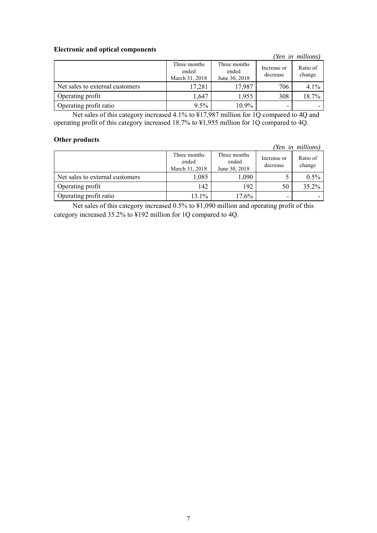## **Electronic and optical components**

|                                 |                                         |                                        |                         | (Yen in millions)  |
|---------------------------------|-----------------------------------------|----------------------------------------|-------------------------|--------------------|
|                                 | Three months<br>ended<br>March 31, 2018 | Three months<br>ended<br>June 30, 2018 | Increase or<br>decrease | Ratio of<br>change |
| Net sales to external customers | 17,281                                  | 17,987                                 | 706                     | 4.1%               |
| Operating profit                | 1,647                                   | 1,955                                  | 308                     | 18.7%              |
| Operating profit ratio          | $9.5\%$                                 | $10.9\%$                               |                         |                    |

Net sales of this category increased 4.1% to ¥17,987 million for 1Q compared to 4Q and operating profit of this category increased 18.7% to ¥1,955 million for 1Q compared to 4Q.

## **Other products**

*(Yen in millions)*

|                                 | Three months<br>ended<br>March 31, 2018 | Three months<br>ended<br>June 30, 2018 | Increase or<br>decrease | Ratio of<br>change |
|---------------------------------|-----------------------------------------|----------------------------------------|-------------------------|--------------------|
| Net sales to external customers | 1,085                                   | 1,090                                  |                         | 0.5%               |
| Operating profit                | 142                                     | 192                                    | 50                      | 35.2%              |
| Operating profit ratio          | 13.1%                                   | $17.6\%$                               |                         |                    |

Net sales of this category increased 0.5% to ¥1,090 million and operating profit of this category increased 35.2% to ¥192 million for 1Q compared to 4Q.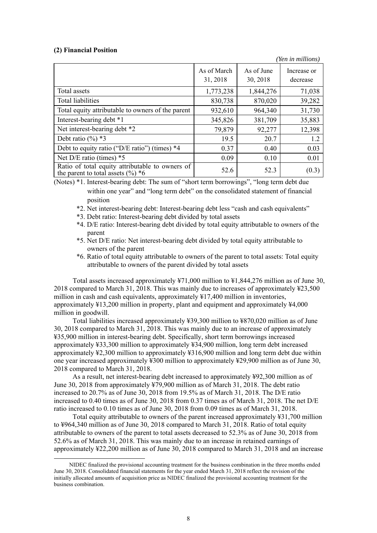#### **(2) Financial Position**

-

 *(Yen in millions)* As of March 31, 2018 As of June 30, 2018 Increase or decrease Total assets 1,773,238 1,844,276 71,038 Total liabilities 100 830,738 870,020 39,282 Total equity attributable to owners of the parent  $\begin{vmatrix} 932,610 & 964,340 \end{vmatrix}$  31,730 Interest-bearing debt \*1 345,826 381,709 35,883 Net interest-bearing debt \*2 12,398 Debt ratio  $(\%)$  \*3 19.5 20.7 1.2 Debt to equity ratio ("D/E ratio") (times)  $*4$  0.37 0.40 0.40 0.03 Net D/E ratio (times)  $*5$  0.09 0.10 0.01 Ratio of total equity attributable to owners of Ratio of total equity attributable to owners of  $52.6$  52.3 (0.3) the parent to total assets  $(\%)^*6$ 

(Notes) \*1. Interest-bearing debt: The sum of "short term borrowings", "long term debt due within one year" and "long term debt" on the consolidated statement of financial position

- \*2. Net interest-bearing debt: Interest-bearing debt less "cash and cash equivalents"
- \*3. Debt ratio: Interest-bearing debt divided by total assets
- \*4. D/E ratio: Interest-bearing debt divided by total equity attributable to owners of the parent
- \*5. Net D/E ratio: Net interest-bearing debt divided by total equity attributable to owners of the parent
- \*6. Ratio of total equity attributable to owners of the parent to total assets: Total equity attributable to owners of the parent divided by total assets

Total assets increased approximately ¥71,000 million to ¥1,844,276 million as of June 30, 2018 compared to March 31, 2018. This was mainly due to increases of approximately ¥23,500 million in cash and cash equivalents, approximately ¥17,400 million in inventories, approximately ¥13,200 million in property, plant and equipment and approximately ¥4,000 million in goodwill. **<sup>4</sup>**

Total liabilities increased approximately ¥39,300 million to ¥870,020 million as of June 30, 2018 compared to March 31, 2018. This was mainly due to an increase of approximately ¥35,900 million in interest-bearing debt. Specifically, short term borrowings increased approximately ¥33,300 million to approximately ¥34,900 million, long term debt increased approximately ¥2,300 million to approximately ¥316,900 million and long term debt due within one year increased approximately ¥300 million to approximately ¥29,900 million as of June 30, 2018 compared to March 31, 2018.

As a result, net interest-bearing debt increased to approximately ¥92,300 million as of June 30, 2018 from approximately ¥79,900 million as of March 31, 2018. The debt ratio increased to 20.7% as of June 30, 2018 from 19.5% as of March 31, 2018. The D/E ratio increased to 0.40 times as of June 30, 2018 from 0.37 times as of March 31, 2018. The net D/E ratio increased to 0.10 times as of June 30, 2018 from 0.09 times as of March 31, 2018.

Total equity attributable to owners of the parent increased approximately ¥31,700 million to ¥964,340 million as of June 30, 2018 compared to March 31, 2018. Ratio of total equity attributable to owners of the parent to total assets decreased to 52.3% as of June 30, 2018 from 52.6% as of March 31, 2018. This was mainly due to an increase in retained earnings of approximately ¥22,200 million as of June 30, 2018 compared to March 31, 2018 and an increase

NIDEC finalized the provisional accounting treatment for the business combination in the three months ended June 30, 2018. Consolidated financial statements for the year ended March 31, 2018 reflect the revision of the initially allocated amounts of acquisition price as NIDEC finalized the provisional accounting treatment for the business combination.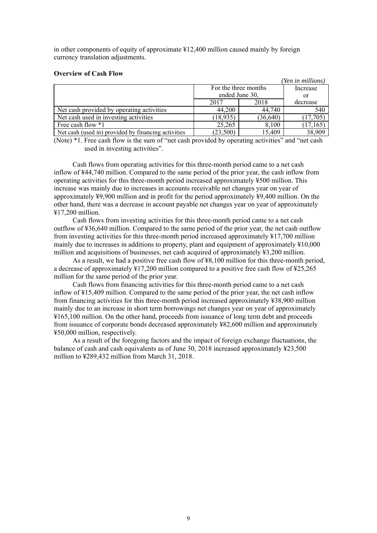in other components of equity of approximate ¥12,400 million caused mainly by foreign currency translation adjustments.

#### **Overview of Cash Flow**

|                                                     |                |                      | (Yen in millions) |
|-----------------------------------------------------|----------------|----------------------|-------------------|
|                                                     |                | For the three months | Increase          |
|                                                     | ended June 30, |                      | or                |
|                                                     | 2017           | 2018                 | decrease          |
| Net cash provided by operating activities           | 44,200         | 44,740               | 540               |
| Net cash used in investing activities               | (18, 935)      | (36, 640)            | (17,705)          |
| Free cash flow *1                                   | 25,265         | 8,100                | (17, 165)         |
| Net cash (used in) provided by financing activities | (23,500)       | 15,409               | 38,909            |

(Note) \*1. Free cash flow is the sum of "net cash provided by operating activities" and "net cash used in investing activities".

Cash flows from operating activities for this three-month period came to a net cash inflow of ¥44,740 million. Compared to the same period of the prior year, the cash inflow from operating activities for this three-month period increased approximately ¥500 million. This increase was mainly due to increases in accounts receivable net changes year on year of approximately ¥9,900 million and in profit for the period approximately ¥9,400 million. On the other hand, there was a decrease in account payable net changes year on year of approximately ¥17,200 million.

Cash flows from investing activities for this three-month period came to a net cash outflow of ¥36,640 million. Compared to the same period of the prior year, the net cash outflow from investing activities for this three-month period increased approximately ¥17,700 million mainly due to increases in additions to property, plant and equipment of approximately ¥10,000 million and acquisitions of businesses, net cash acquired of approximately ¥3,200 million.

As a result, we had a positive free cash flow of ¥8,100 million for this three-month period, a decrease of approximately ¥17,200 million compared to a positive free cash flow of ¥25,265 million for the same period of the prior year.

Cash flows from financing activities for this three-month period came to a net cash inflow of ¥15,409 million. Compared to the same period of the prior year, the net cash inflow from financing activities for this three-month period increased approximately ¥38,900 million mainly due to an increase in short term borrowings net changes year on year of approximately ¥165,100 million. On the other hand, proceeds from issuance of long term debt and proceeds from issuance of corporate bonds decreased approximately ¥82,600 million and approximately ¥50,000 million, respectively.

As a result of the foregoing factors and the impact of foreign exchange fluctuations, the balance of cash and cash equivalents as of June 30, 2018 increased approximately ¥23,500 million to ¥289,432 million from March 31, 2018.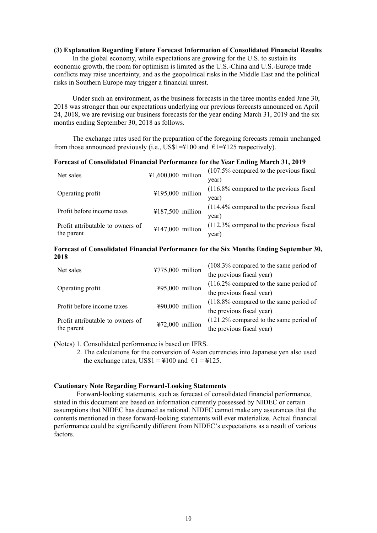#### **(3) Explanation Regarding Future Forecast Information of Consolidated Financial Results**

In the global economy, while expectations are growing for the U.S. to sustain its economic growth, the room for optimism is limited as the U.S.-China and U.S.-Europe trade conflicts may raise uncertainty, and as the geopolitical risks in the Middle East and the political risks in Southern Europe may trigger a financial unrest.

Under such an environment, as the business forecasts in the three months ended June 30, 2018 was stronger than our expectations underlying our previous forecasts announced on April 24, 2018, we are revising our business forecasts for the year ending March 31, 2019 and the six months ending September 30, 2018 as follows.

The exchange rates used for the preparation of the foregoing forecasts remain unchanged from those announced previously (i.e., US\$1=¥100 and  $\epsilon$ 1=¥125 respectively).

#### **Forecast of Consolidated Financial Performance for the Year Ending March 31, 2019**

| Net sales                        | ¥1,600,000 million | $(107.5\%$ compared to the previous fiscal |
|----------------------------------|--------------------|--------------------------------------------|
|                                  |                    | year)                                      |
| Operating profit                 | ¥195,000 million   | $(116.8\%$ compared to the previous fiscal |
|                                  |                    | year)                                      |
| Profit before income taxes       | ¥187,500 million   | $(114.4\%$ compared to the previous fiscal |
|                                  |                    | year)                                      |
| Profit attributable to owners of |                    | $(112.3\%$ compared to the previous fiscal |
| ¥147,000 million<br>the parent   |                    | year)                                      |

### **Forecast of Consolidated Financial Performance for the Six Months Ending September 30, 2018**

| Net sales                        | ¥775,000 million  | (108.3% compared to the same period of    |
|----------------------------------|-------------------|-------------------------------------------|
|                                  |                   | the previous fiscal year)                 |
|                                  | ¥95,000 million   | $(116.2\%$ compared to the same period of |
| Operating profit                 |                   | the previous fiscal year)                 |
| Profit before income taxes       | ¥90,000 million   | $(118.8\%$ compared to the same period of |
|                                  |                   | the previous fiscal year)                 |
| Profit attributable to owners of | $472,000$ million | $(121.2\%$ compared to the same period of |
| the parent                       |                   | the previous fiscal year)                 |

(Notes) 1. Consolidated performance is based on IFRS.

2. The calculations for the conversion of Asian currencies into Japanese yen also used the exchange rates,  $USS1 = \text{\textsterling}100$  and  $\text{\textsterling}1 = \text{\textsterling}125$ .

### **Cautionary Note Regarding Forward-Looking Statements**

Forward-looking statements, such as forecast of consolidated financial performance, stated in this document are based on information currently possessed by NIDEC or certain assumptions that NIDEC has deemed as rational. NIDEC cannot make any assurances that the contents mentioned in these forward-looking statements will ever materialize. Actual financial performance could be significantly different from NIDEC's expectations as a result of various factors.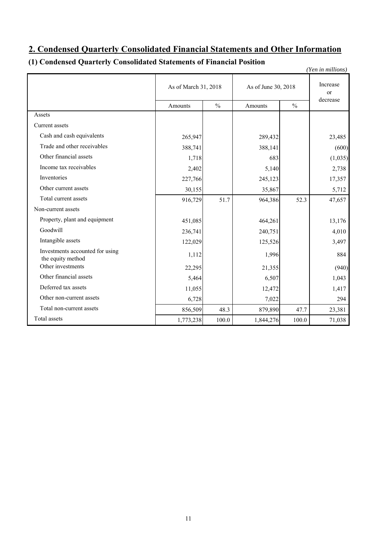# **2. Condensed Quarterly Consolidated Financial Statements and Other Information**

# **(1) Condensed Quarterly Consolidated Statements of Financial Position**

*(Yen in millions)*

|                                                      | As of March 31, 2018 |               | As of June 30, 2018 | Increase<br><sub>or</sub><br>decrease |         |
|------------------------------------------------------|----------------------|---------------|---------------------|---------------------------------------|---------|
|                                                      | Amounts              | $\frac{0}{0}$ | Amounts             | $\frac{0}{0}$                         |         |
| Assets                                               |                      |               |                     |                                       |         |
| Current assets                                       |                      |               |                     |                                       |         |
| Cash and cash equivalents                            | 265,947              |               | 289,432             |                                       | 23,485  |
| Trade and other receivables                          | 388,741              |               | 388,141             |                                       | (600)   |
| Other financial assets                               | 1,718                |               | 683                 |                                       | (1,035) |
| Income tax receivables                               | 2,402                |               | 5,140               |                                       | 2,738   |
| Inventories                                          | 227,766              |               | 245,123             |                                       | 17,357  |
| Other current assets                                 | 30,155               |               | 35,867              |                                       | 5,712   |
| Total current assets                                 | 916,729              | 51.7          | 964,386             | 52.3                                  | 47,657  |
| Non-current assets                                   |                      |               |                     |                                       |         |
| Property, plant and equipment                        | 451,085              |               | 464,261             |                                       | 13,176  |
| Goodwill                                             | 236,741              |               | 240,751             |                                       | 4,010   |
| Intangible assets                                    | 122,029              |               | 125,526             |                                       | 3,497   |
| Investments accounted for using<br>the equity method | 1,112                |               | 1,996               |                                       | 884     |
| Other investments                                    | 22,295               |               | 21,355              |                                       | (940)   |
| Other financial assets                               | 5,464                |               | 6,507               |                                       | 1,043   |
| Deferred tax assets                                  | 11,055               |               | 12,472              |                                       | 1,417   |
| Other non-current assets                             | 6,728                |               | 7,022               |                                       | 294     |
| Total non-current assets                             | 856,509              | 48.3          | 879,890             | 47.7                                  | 23,381  |
| Total assets                                         | 1,773,238            | 100.0         | 1,844,276           | 100.0                                 | 71,038  |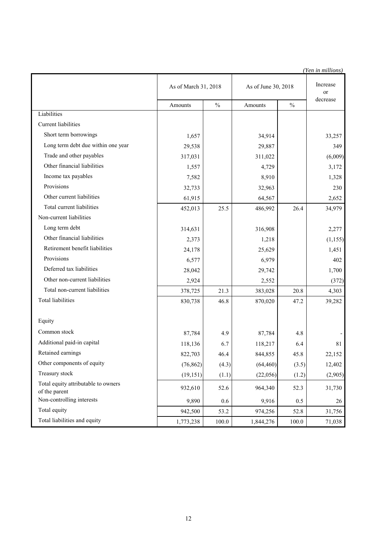|                                                      |                      | (Yen in millions) |                     |               |                |
|------------------------------------------------------|----------------------|-------------------|---------------------|---------------|----------------|
|                                                      | As of March 31, 2018 |                   | As of June 30, 2018 |               | Increase<br>or |
|                                                      | Amounts              | $\%$              | Amounts             | $\frac{0}{0}$ | decrease       |
| Liabilities                                          |                      |                   |                     |               |                |
| <b>Current liabilities</b>                           |                      |                   |                     |               |                |
| Short term borrowings                                | 1,657                |                   | 34,914              |               | 33,257         |
| Long term debt due within one year                   | 29,538               |                   | 29,887              |               | 349            |
| Trade and other payables                             | 317,031              |                   | 311,022             |               | (6,009)        |
| Other financial liabilities                          | 1,557                |                   | 4,729               |               | 3,172          |
| Income tax payables                                  | 7,582                |                   | 8,910               |               | 1,328          |
| Provisions                                           | 32,733               |                   | 32,963              |               | 230            |
| Other current liabilities                            | 61,915               |                   | 64,567              |               | 2,652          |
| Total current liabilities                            | 452,013              | 25.5              | 486,992             | 26.4          | 34,979         |
| Non-current liabilities                              |                      |                   |                     |               |                |
| Long term debt                                       | 314,631              |                   | 316,908             |               | 2,277          |
| Other financial liabilities                          | 2,373                |                   | 1,218               |               | (1, 155)       |
| Retirement benefit liabilities                       | 24,178               |                   | 25,629              |               | 1,451          |
| Provisions                                           | 6,577                |                   | 6,979               |               | 402            |
| Deferred tax liabilities                             | 28,042               |                   | 29,742              |               | 1,700          |
| Other non-current liabilities                        | 2,924                |                   | 2,552               |               | (372)          |
| Total non-current liabilities                        | 378,725              | 21.3              | 383,028             | 20.8          | 4,303          |
| Total liabilities                                    | 830,738              | 46.8              | 870,020             | 47.2          | 39,282         |
|                                                      |                      |                   |                     |               |                |
| Equity                                               |                      |                   |                     |               |                |
| Common stock                                         | 87,784               | 4.9               | 87,784              | 4.8           |                |
| Additional paid-in capital                           | 118,136              | 6.7               | 118,217             | 6.4           | 81             |
| Retained earnings                                    | 822,703              | 46.4              | 844,855             | 45.8          | 22,152         |
| Other components of equity                           | (76, 862)            | (4.3)             | (64, 460)           | (3.5)         | 12,402         |
| Treasury stock                                       | (19, 151)            | (1.1)             | (22,056)            | (1.2)         | (2,905)        |
| Total equity attributable to owners<br>of the parent | 932,610              | 52.6              | 964,340             | 52.3          | 31,730         |
| Non-controlling interests                            | 9,890                | 0.6               | 9,916               | 0.5           | 26             |
| Total equity                                         | 942,500              | 53.2              | 974,256             | 52.8          | 31,756         |
| Total liabilities and equity                         | 1,773,238            | 100.0             | 1,844,276           | 100.0         | 71,038         |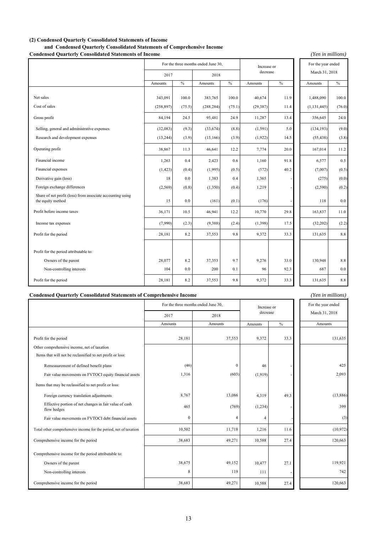### **(2) Condensed Quarterly Consolidated Statements of Income**

**and Condensed Quarterly Consolidated Statements of Comprehensive Income**

### **Condensed Quarterly Consolidated Statements of Income**

*(Yen in millions)*

*(Yen in millions)*

|                                                                                 | For the three months ended June 30, |        |            |        | Increase or |               | For the year ended |         |
|---------------------------------------------------------------------------------|-------------------------------------|--------|------------|--------|-------------|---------------|--------------------|---------|
|                                                                                 | 2017                                |        | 2018       |        | decrease    |               | March 31, 2018     |         |
|                                                                                 | Amounts                             | $\%$   | Amounts    | $\%$   | Amounts     | $\frac{0}{0}$ | Amounts            | $\%$    |
|                                                                                 |                                     |        |            |        |             |               |                    |         |
| Net sales                                                                       | 343,091                             | 100.0  | 383,765    | 100.0  | 40,674      | 11.9          | 1,488,090          | 100.0   |
| Cost of sales                                                                   | (258, 897)                          | (75.5) | (288, 284) | (75.1) | (29, 387)   | 11.4          | (1, 131, 445)      | (76.0)  |
| Gross profit                                                                    | 84,194                              | 24.5   | 95,481     | 24.9   | 11,287      | 13.4          | 356,645            | 24.0    |
| Selling, general and administrative expenses                                    | (32,083)                            | (9.3)  | (33,674)   | (8.8)  | (1, 591)    | 5.0           | (134, 193)         | (9.0)   |
| Research and development expenses                                               | (13,244)                            | (3.9)  | (15, 166)  | (3.9)  | (1,922)     | 14.5          | (55, 438)          | (3.8)   |
| Operating profit                                                                | 38,867                              | 11.3   | 46,641     | 12.2   | 7,774       | 20.0          | 167,014            | 11.2    |
| Financial income                                                                | 1,263                               | 0.4    | 2,423      | 0.6    | 1,160       | 91.8          | 6,577              | 0.5     |
| Financial expenses                                                              | (1, 423)                            | (0.4)  | (1,995)    | (0.5)  | (572)       | 40.2          | (7,007)            | (0.5)   |
| Derivative gain (loss)                                                          | 18                                  | 0.0    | 1,383      | 0.4    | 1,365       |               | (275)              | (0.0)   |
| Foreign exchange differences                                                    | (2, 569)                            | (0.8)  | (1,350)    | (0.4)  | 1,219       |               | (2,590)            | (0.2)   |
| Share of net profit (loss) from associate accounting using<br>the equity method | 15                                  | 0.0    | (161)      | (0.1)  | (176)       |               | 118                | 0.0     |
| Profit before income taxes                                                      | 36,171                              | 10.5   | 46,941     | 12.2   | 10,770      | 29.8          | 163,837            | 11.0    |
| Income tax expenses                                                             | (7,990)                             | (2.3)  | (9,388)    | (2.4)  | (1, 398)    | 17.5          | (32, 202)          | (2.2)   |
| Profit for the period                                                           | 28,181                              | 8.2    | 37,553     | 9.8    | 9,372       | 33.3          | 131,635            | $8.8\,$ |
|                                                                                 |                                     |        |            |        |             |               |                    |         |
| Profit for the period attributable to:                                          |                                     |        |            |        |             |               |                    |         |
| Owners of the parent                                                            | 28,077                              | 8.2    | 37,353     | 9.7    | 9,276       | 33.0          | 130,948            | $8.8\,$ |
| Non-controlling interests                                                       | 104                                 | 0.0    | 200        | 0.1    | 96          | 92.3          | 687                | 0.0     |
| Profit for the period                                                           | 28,181                              | 8.2    | 37,553     | 9.8    | 9,372       | 33.3          | 131,635            | $8.8\,$ |

#### **Condensed Quarterly Consolidated Statements of Comprehensive Income**

|                                                                       | For the three months ended June 30, |                  | Increase or    |      | For the year ended |
|-----------------------------------------------------------------------|-------------------------------------|------------------|----------------|------|--------------------|
|                                                                       | 2017                                | 2018             | decrease       |      | March 31, 2018     |
|                                                                       | Amounts                             | Amounts          | Amounts        | $\%$ | Amounts            |
|                                                                       |                                     |                  |                |      |                    |
| Profit for the period                                                 | 28,181                              | 37,553           | 9,372          | 33.3 | 131,635            |
| Other comprehensive income, net of taxation                           |                                     |                  |                |      |                    |
| Items that will not be reclassified to net profit or loss:            |                                     |                  |                |      |                    |
| Remeasurement of defined benefit plans                                | (46)                                | $\boldsymbol{0}$ | 46             |      | 425                |
| Fair value movements on FVTOCI equity financial assets                | 1,316                               | (603)            | (1,919)        |      | 2,093              |
| Items that may be reclassified to net profit or loss:                 |                                     |                  |                |      |                    |
| Foreign currency translation adjustments                              | 8,767                               | 13,086           | 4,319          | 49.3 | (13,886)           |
| Effective portion of net changes in fair value of cash<br>flow hedges | 465                                 | (769)            | (1,234)        |      | 399                |
| Fair value movements on FVTOCI debt financial assets                  | $\mathbf{0}$                        | 4                | $\overline{4}$ |      | (3)                |
| Total other comprehensive income for the period, net of taxation      | 10,502                              | 11,718           | 1,216          | 11.6 | (10, 972)          |
| Comprehensive income for the period                                   | 38,683                              | 49,271           | 10,588         | 27.4 | 120,663            |
| Comprehensive income for the period attributable to:                  |                                     |                  |                |      |                    |
| Owners of the parent                                                  | 38,675                              | 49,152           | 10,477         | 27.1 | 119,921            |
| Non-controlling interests                                             | 8                                   | 119              | 111            |      | 742                |
| Comprehensive income for the period                                   | 38,683                              | 49,271           | 10,588         | 27.4 | 120,663            |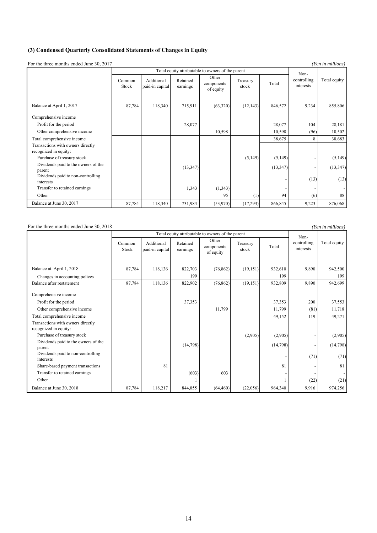## **(3) Condensed Quarterly Consolidated Statements of Changes in Equity**

For the three months ended June 30, 2017

| For the three months ended June 30, 2017       |                 |                               |                      |                                                   |                   |           |                          | (Yen in millions) |
|------------------------------------------------|-----------------|-------------------------------|----------------------|---------------------------------------------------|-------------------|-----------|--------------------------|-------------------|
|                                                |                 |                               |                      | Total equity attributable to owners of the parent |                   |           | Non-                     |                   |
|                                                | Common<br>Stock | Additional<br>paid-in capital | Retained<br>earnings | Other<br>components<br>of equity                  | Treasury<br>stock | Total     | controlling<br>interests | Total equity      |
|                                                |                 |                               |                      |                                                   |                   |           |                          |                   |
| Balance at April 1, 2017                       | 87,784          | 118,340                       | 715,911              | (63,320)                                          | (12, 143)         | 846,572   | 9,234                    | 855,806           |
| Comprehensive income                           |                 |                               |                      |                                                   |                   |           |                          |                   |
| Profit for the period                          |                 |                               | 28,077               |                                                   |                   | 28,077    | 104                      | 28,181            |
| Other comprehensive income                     |                 |                               |                      | 10,598                                            |                   | 10,598    | (96)                     | 10,502            |
| Total comprehensive income                     |                 |                               |                      |                                                   |                   | 38,675    | 8                        | 38,683            |
| Transactions with owners directly              |                 |                               |                      |                                                   |                   |           |                          |                   |
| recognized in equity:                          |                 |                               |                      |                                                   |                   |           |                          |                   |
| Purchase of treasury stock                     |                 |                               |                      |                                                   | (5,149)           | (5, 149)  |                          | (5,149)           |
| Dividends paid to the owners of the            |                 |                               | (13, 347)            |                                                   |                   | (13, 347) |                          | (13, 347)         |
| parent                                         |                 |                               |                      |                                                   |                   |           |                          |                   |
| Dividends paid to non-controlling<br>interests |                 |                               |                      |                                                   |                   |           | (13)                     | (13)              |
| Transfer to retained earnings                  |                 |                               | 1,343                | (1,343)                                           |                   |           |                          |                   |
| Other                                          |                 |                               |                      | 95                                                | (1)               | 94        | (6)                      | 88                |
| Balance at June 30, 2017                       | 87,784          | 118,340                       | 731,984              | (53,970)                                          | (17,293)          | 866,845   | 9,223                    | 876,068           |

| For the three months ended June 30, 2018    |                 |                               |                      |                                                   |                   |          |                          | (Yen in millions) |
|---------------------------------------------|-----------------|-------------------------------|----------------------|---------------------------------------------------|-------------------|----------|--------------------------|-------------------|
|                                             |                 |                               |                      | Total equity attributable to owners of the parent |                   |          | Non-                     |                   |
|                                             | Common<br>Stock | Additional<br>paid-in capital | Retained<br>earnings | Other<br>components<br>of equity                  | Treasury<br>stock | Total    | controlling<br>interests | Total equity      |
|                                             |                 |                               |                      |                                                   |                   |          |                          |                   |
| Balance at April 1, 2018                    | 87,784          | 118,136                       | 822,703              | (76, 862)                                         | (19,151)          | 932,610  | 9,890                    | 942,500           |
| Changes in accounting polices               |                 |                               | 199                  |                                                   |                   | 199      |                          | 199               |
| Balance after restatement                   | 87,784          | 118,136                       | 822,902              | (76, 862)                                         | (19, 151)         | 932,809  | 9,890                    | 942,699           |
| Comprehensive income                        |                 |                               |                      |                                                   |                   |          |                          |                   |
| Profit for the period                       |                 |                               | 37,353               |                                                   |                   | 37,353   | 200                      | 37,553            |
| Other comprehensive income                  |                 |                               |                      | 11,799                                            |                   | 11,799   | (81)                     | 11,718            |
| Total comprehensive income                  |                 |                               |                      |                                                   |                   | 49,152   | 119                      | 49,271            |
| Transactions with owners directly           |                 |                               |                      |                                                   |                   |          |                          |                   |
| recognized in equity:                       |                 |                               |                      |                                                   |                   |          |                          |                   |
| Purchase of treasury stock                  |                 |                               |                      |                                                   | (2,905)           | (2,905)  |                          | (2,905)           |
| Dividends paid to the owners of the         |                 |                               | (14,798)             |                                                   |                   | (14,798) |                          | (14,798)          |
| parent<br>Dividends paid to non-controlling |                 |                               |                      |                                                   |                   |          |                          |                   |
| interests                                   |                 |                               |                      |                                                   |                   |          | (71)                     | (71)              |
| Share-based payment transactions            |                 | 81                            |                      |                                                   |                   | 81       |                          | 81                |
| Transfer to retained earnings               |                 |                               | (603)                | 603                                               |                   |          |                          |                   |
| Other                                       |                 |                               |                      |                                                   |                   |          | (22)                     | (21)              |
| Balance at June 30, 2018                    | 87,784          | 118,217                       | 844,855              | (64, 460)                                         | (22,056)          | 964,340  | 9,916                    | 974,256           |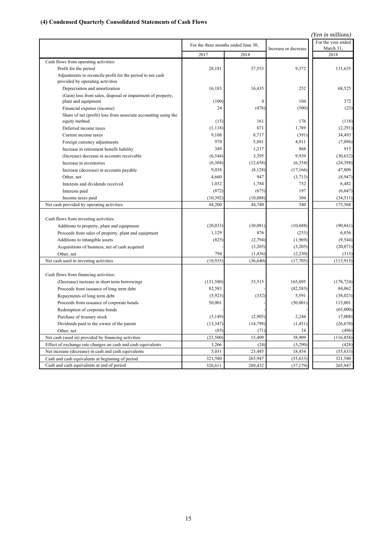# **(4) Condensed Quarterly Consolidated Statements of Cash Flows**

|                                                                                                |            |                                     |                      | (Yen in millions)               |
|------------------------------------------------------------------------------------------------|------------|-------------------------------------|----------------------|---------------------------------|
|                                                                                                |            | For the three months ended June 30, | Increase or decrease | For the year ended<br>March 31, |
|                                                                                                | 2017       | 2018                                |                      | 2018                            |
| Cash flows from operating activities:                                                          |            |                                     |                      |                                 |
| Profit for the period                                                                          | 28,181     | 37,553                              | 9,372                | 131,635                         |
| Adjustments to reconcile profit for the period to net cash<br>provided by operating activities |            |                                     |                      |                                 |
| Depreciation and amortization                                                                  | 16,183     | 16,435                              | 252                  | 68,525                          |
| (Gain) loss from sales, disposal or impairment of property,<br>plant and equipment             | (100)      | 4                                   | 104                  | 372                             |
| Financial expense (income)                                                                     | 24         | (476)                               | (500)                | (23)                            |
| Share of net (profit) loss from associate accounting using the                                 |            |                                     |                      |                                 |
| equity method                                                                                  | (15)       | 161                                 | 176                  | (118)                           |
| Deferred income taxes                                                                          | (1, 118)   | 671                                 | 1,789                | (2,291)                         |
| Current income taxes                                                                           | 9,108      | 8,717                               | (391)                | 34,493                          |
| Foreign currency adjustments                                                                   | 970        | 5,881                               | 4,911                | (7,096)                         |
| Increase in retirement benefit liability                                                       | 349        | 1,217                               | 868                  | 915                             |
| (Increase) decrease in accounts receivable                                                     | (6, 544)   | 3,395                               | 9,939                | (30,632)                        |
| Increase in inventories                                                                        | (6,304)    | (12, 658)                           | (6, 354)             | (24,398)                        |
| Increase (decrease) in accounts payable                                                        | 9,038      | (8,128)                             | (17,166)             | 47,809                          |
| Other, net                                                                                     | 4,660      | 947                                 | (3,713)              | (8,947)                         |
| Interests and dividends received                                                               | 1,032      | 1,784                               | 752                  | 6,482                           |
| Interests paid                                                                                 | (872)      | (675)                               | 197                  | (6,647)                         |
| Income taxes paid                                                                              | (10, 392)  | (10,088)                            | 304                  | (34,511)                        |
| Net cash provided by operating activities                                                      | 44,200     | 44,740                              | 540                  | 175,568                         |
| Cash flows from investing activities:                                                          |            |                                     |                      |                                 |
| Additions to property, plant and equipment                                                     | (20, 033)  | (30,081)                            | (10,048)             | (90, 841)                       |
| Proceeds from sales of property, plant and equipment                                           | 1,129      | 876                                 | (253)                | 6,856                           |
| Additions to intangible assets                                                                 | (825)      | (2,794)                             | (1,969)              | (9, 544)                        |
| Acquisitions of business, net of cash acquired                                                 |            | (3,205)                             | (3,205)              | (20,071)                        |
| Other, net                                                                                     | 794        | (1, 436)                            | (2,230)              | (315)                           |
| Net cash used in investing activities                                                          | (18, 935)  | (36, 640)                           | (17,705)             | (113, 915)                      |
| Cash flows from financing activities:                                                          |            |                                     |                      |                                 |
| (Decrease) increase in short term borrowings                                                   | (131, 580) | 33,515                              | 165,095              | (178, 724)                      |
| Proceeds from issuance of long term debt                                                       | 82,583     |                                     | (82, 583)            | 84,062                          |
| Repayments of long term debt                                                                   | (5,923)    | (332)                               | 5,591                | (38,023)                        |
| Proceeds from issuance of corporate bonds                                                      | 50,001     |                                     | (50,001)             | 115,001                         |
| Redemption of corporate bonds                                                                  |            |                                     |                      | (65,000)                        |
| Purchase of treasury stock                                                                     | (5,149)    | (2,905)                             | 2,244                | (7,008)                         |
| Dividends paid to the owner of the parent                                                      | (13, 347)  | (14, 798)                           | (1, 451)             | (26, 670)                       |
| Other, net                                                                                     | (85)       | (71)                                | 14                   | (496)                           |
| Net cash (used in) provided by financing activities                                            | (23,500)   | 15,409                              | 38,909               | (116, 858)                      |
| Effect of exchange rate changes on cash and cash equivalents                                   | 3,266      | (24)                                | (3,290)              | (428)                           |
| Net increase (decrease) in cash and cash equivalents                                           | 5,031      | 23,485                              | 18,454               | (55, 633)                       |
| Cash and cash equivalents at beginning of period                                               | 321,580    | 265,947                             | (55, 633)            | 321,580                         |
| Cash and cash equivalents at end of period                                                     | 326,611    | 289,432                             | (37, 179)            | 265,947                         |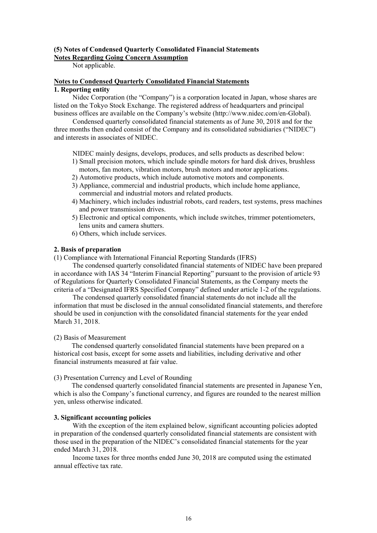#### **(5) Notes of Condensed Quarterly Consolidated Financial Statements Notes Regarding Going Concern Assumption**

Not applicable.

### **Notes to Condensed Quarterly Consolidated Financial Statements 1. Reporting entity**

Nidec Corporation (the "Company") is a corporation located in Japan, whose shares are listed on the Tokyo Stock Exchange. The registered address of headquarters and principal business offices are available on the Company's website (http://www.nidec.com/en-Global).

Condensed quarterly consolidated financial statements as of June 30, 2018 and for the three months then ended consist of the Company and its consolidated subsidiaries ("NIDEC") and interests in associates of NIDEC.

NIDEC mainly designs, develops, produces, and sells products as described below:

- 1) Small precision motors, which include spindle motors for hard disk drives, brushless motors, fan motors, vibration motors, brush motors and motor applications.
- 2) Automotive products, which include automotive motors and components.
- 3) Appliance, commercial and industrial products, which include home appliance, commercial and industrial motors and related products.
- 4) Machinery, which includes industrial robots, card readers, test systems, press machines and power transmission drives.
- 5) Electronic and optical components, which include switches, trimmer potentiometers, lens units and camera shutters.
- 6) Others, which include services.

## **2. Basis of preparation**

(1) Compliance with International Financial Reporting Standards (IFRS)

The condensed quarterly consolidated financial statements of NIDEC have been prepared in accordance with IAS 34 "Interim Financial Reporting" pursuant to the provision of article 93 of Regulations for Quarterly Consolidated Financial Statements, as the Company meets the criteria of a "Designated IFRS Specified Company" defined under article 1-2 of the regulations.

The condensed quarterly consolidated financial statements do not include all the information that must be disclosed in the annual consolidated financial statements, and therefore should be used in conjunction with the consolidated financial statements for the year ended March 31, 2018.

#### (2) Basis of Measurement

The condensed quarterly consolidated financial statements have been prepared on a historical cost basis, except for some assets and liabilities, including derivative and other financial instruments measured at fair value.

#### (3) Presentation Currency and Level of Rounding

The condensed quarterly consolidated financial statements are presented in Japanese Yen, which is also the Company's functional currency, and figures are rounded to the nearest million yen, unless otherwise indicated.

#### **3. Significant accounting policies**

With the exception of the item explained below, significant accounting policies adopted in preparation of the condensed quarterly consolidated financial statements are consistent with those used in the preparation of the NIDEC's consolidated financial statements for the year ended March 31, 2018.

Income taxes for three months ended June 30, 2018 are computed using the estimated annual effective tax rate.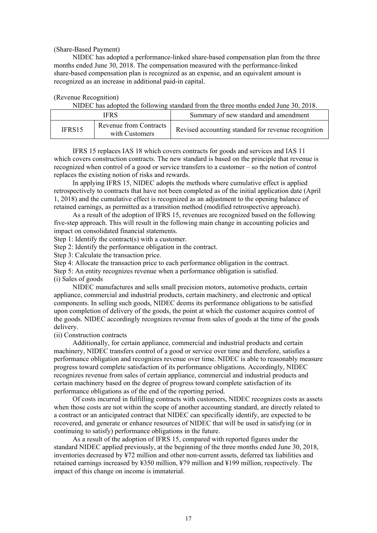#### (Share-Based Payment)

NIDEC has adopted a performance-linked share-based compensation plan from the three months ended June 30, 2018. The compensation measured with the performance-linked share-based compensation plan is recognized as an expense, and an equivalent amount is recognized as an increase in additional paid-in capital.

## (Revenue Recognition)

NIDEC has adopted the following standard from the three months ended June 30, 2018.

|        | <b>IFRS</b>                                     | Summary of new standard and amendment               |
|--------|-------------------------------------------------|-----------------------------------------------------|
| IFRS15 | <b>Revenue from Contracts</b><br>with Customers | Revised accounting standard for revenue recognition |

IFRS 15 replaces IAS 18 which covers contracts for goods and services and IAS 11 which covers construction contracts. The new standard is based on the principle that revenue is recognized when control of a good or service transfers to a customer – so the notion of control replaces the existing notion of risks and rewards.

In applying IFRS 15, NIDEC adopts the methods where cumulative effect is applied retrospectively to contracts that have not been completed as of the initial application date (April 1, 2018) and the cumulative effect is recognized as an adjustment to the opening balance of retained earnings, as permitted as a transition method (modified retrospective approach).

As a result of the adoption of IFRS 15, revenues are recognized based on the following five-step approach. This will result in the following main change in accounting policies and impact on consolidated financial statements.

Step 1: Identify the contract(s) with a customer.

Step 2: Identify the performance obligation in the contract.

Step 3: Calculate the transaction price.

Step 4: Allocate the transaction price to each performance obligation in the contract.

Step 5: An entity recognizes revenue when a performance obligation is satisfied.

(i) Sales of goods

NIDEC manufactures and sells small precision motors, automotive products, certain appliance, commercial and industrial products, certain machinery, and electronic and optical components. In selling such goods, NIDEC deems its performance obligations to be satisfied upon completion of delivery of the goods, the point at which the customer acquires control of the goods. NIDEC accordingly recognizes revenue from sales of goods at the time of the goods delivery.

(ii) Construction contracts

Additionally, for certain appliance, commercial and industrial products and certain machinery, NIDEC transfers control of a good or service over time and therefore, satisfies a performance obligation and recognizes revenue over time. NIDEC is able to reasonably measure progress toward complete satisfaction of its performance obligations. Accordingly, NIDEC recognizes revenue from sales of certain appliance, commercial and industrial products and certain machinery based on the degree of progress toward complete satisfaction of its performance obligations as of the end of the reporting period.

Of costs incurred in fulfilling contracts with customers, NIDEC recognizes costs as assets when those costs are not within the scope of another accounting standard, are directly related to a contract or an anticipated contract that NIDEC can specifically identify, are expected to be recovered, and generate or enhance resources of NIDEC that will be used in satisfying (or in continuing to satisfy) performance obligations in the future.

As a result of the adoption of IFRS 15, compared with reported figures under the standard NIDEC applied previously, at the beginning of the three months ended June 30, 2018, inventories decreased by ¥72 million and other non-current assets, deferred tax liabilities and retained earnings increased by ¥350 million, ¥79 million and ¥199 million, respectively. The impact of this change on income is immaterial.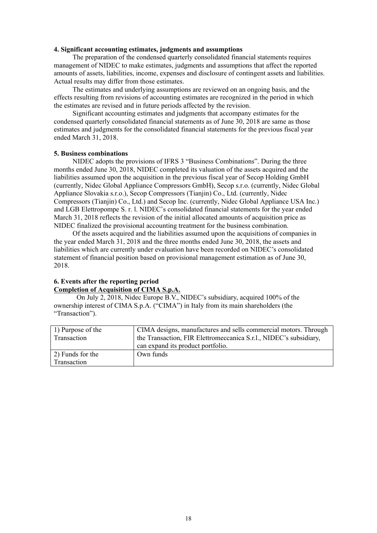#### **4. Significant accounting estimates, judgments and assumptions**

The preparation of the condensed quarterly consolidated financial statements requires management of NIDEC to make estimates, judgments and assumptions that affect the reported amounts of assets, liabilities, income, expenses and disclosure of contingent assets and liabilities. Actual results may differ from those estimates.

The estimates and underlying assumptions are reviewed on an ongoing basis, and the effects resulting from revisions of accounting estimates are recognized in the period in which the estimates are revised and in future periods affected by the revision.

Significant accounting estimates and judgments that accompany estimates for the condensed quarterly consolidated financial statements as of June 30, 2018 are same as those estimates and judgments for the consolidated financial statements for the previous fiscal year ended March 31, 2018.

#### **5. Business combinations**

NIDEC adopts the provisions of IFRS 3 "Business Combinations". During the three months ended June 30, 2018, NIDEC completed its valuation of the assets acquired and the liabilities assumed upon the acquisition in the previous fiscal year of Secop Holding GmbH (currently, Nidec Global Appliance Compressors GmbH), Secop s.r.o. (currently, Nidec Global Appliance Slovakia s.r.o.), Secop Compressors (Tianjin) Co., Ltd. (currently, Nidec Compressors (Tianjin) Co., Ltd.) and Secop Inc. (currently, Nidec Global Appliance USA Inc.) and LGB Elettropompe S. r. l. NIDEC's consolidated financial statements for the year ended March 31, 2018 reflects the revision of the initial allocated amounts of acquisition price as NIDEC finalized the provisional accounting treatment for the business combination.

Of the assets acquired and the liabilities assumed upon the acquisitions of companies in the year ended March 31, 2018 and the three months ended June 30, 2018, the assets and liabilities which are currently under evaluation have been recorded on NIDEC's consolidated statement of financial position based on provisional management estimation as of June 30, 2018.

## **6. Events after the reporting period Completion of Acquisition of CIMA S.p.A.**

On July 2, 2018, Nidec Europe B.V., NIDEC's subsidiary, acquired 100% of the ownership interest of CIMA S.p.A. ("CIMA") in Italy from its main shareholders (the "Transaction").

| 1) Purpose of the | CIMA designs, manufactures and sells commercial motors. Through   |
|-------------------|-------------------------------------------------------------------|
| Transaction       | the Transaction, FIR Elettromeccanica S.r.l., NIDEC's subsidiary, |
|                   | can expand its product portfolio.                                 |
| 2) Funds for the  | Own funds                                                         |
| Transaction       |                                                                   |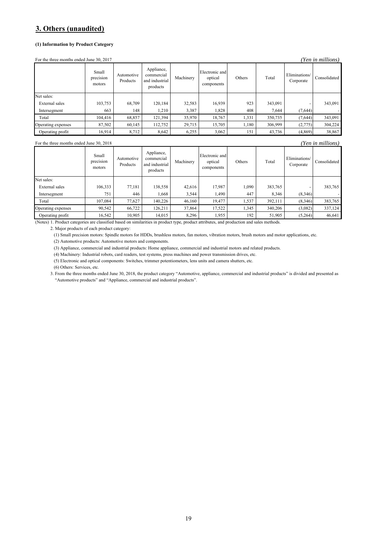# **3. Others (unaudited)**

#### **(1) Information by Product Category**

For the three months ended June 30, 2017 *(Yen in millions)*

| $1$ or the three months ended sune 50, 2017<br>ren in muttons) |                              |                        |                                                        |           |                                         |        |         |                            |              |
|----------------------------------------------------------------|------------------------------|------------------------|--------------------------------------------------------|-----------|-----------------------------------------|--------|---------|----------------------------|--------------|
|                                                                | Small<br>precision<br>motors | Automotive<br>Products | Appliance,<br>commercial<br>and industrial<br>products | Machinery | Electronic and<br>optical<br>components | Others | Total   | Eliminations/<br>Corporate | Consolidated |
| Net sales:                                                     |                              |                        |                                                        |           |                                         |        |         |                            |              |
| <b>External</b> sales                                          | 103,753                      | 68,709                 | 120,184                                                | 32,583    | 16,939                                  | 923    | 343,091 |                            | 343,091      |
| Intersegment                                                   | 663                          | 148                    | 1,210                                                  | 3,387     | 1,828                                   | 408    | 7.644   | (7,644)                    |              |
| Total                                                          | 104.416                      | 68,857                 | 121,394                                                | 35,970    | 18,767                                  | 1,331  | 350,735 | (7,644)                    | 343,091      |
| Operating expenses                                             | 87,502                       | 60,145                 | 112,752                                                | 29,715    | 15,705                                  | 1,180  | 306,999 | (2,775)                    | 304,224      |
| Operating profit                                               | 16,914                       | 8,712                  | 8,642                                                  | 6,255     | 3,062                                   | 151    | 43,736  | (4, 869)                   | 38,867       |

For the three months ended June 30, 2018 *(Yen in millions)*

|                    | Small<br>precision<br>motors | Automotive<br>Products | Appliance,<br>commercial<br>and industrial<br>products | Machinery | Electronic and<br>optical<br>components | Others | Total   | Eliminations/<br>Corporate | Consolidated |
|--------------------|------------------------------|------------------------|--------------------------------------------------------|-----------|-----------------------------------------|--------|---------|----------------------------|--------------|
| Net sales:         |                              |                        |                                                        |           |                                         |        |         |                            |              |
| External sales     | 106,333                      | 77.181                 | 138,558                                                | 42,616    | 17,987                                  | 1,090  | 383,765 |                            | 383,765      |
| Intersegment       | 751                          | 446                    | 1,668                                                  | 3,544     | 1,490                                   | 447    | 8,346   | (8,346)                    |              |
| Total              | 107.084                      | 77.627                 | 140.226                                                | 46,160    | 19.477                                  | 1,537  | 392,111 | (8,346)                    | 383,765      |
| Operating expenses | 90,542                       | 66,722                 | 126,211                                                | 37,864    | 17,522                                  | 1,345  | 340,206 | (3,082)                    | 337,124      |
| Operating profit   | 16,542                       | 10,905                 | 14,015                                                 | 8,296     | 1,955                                   | 192    | 51,905  | (5,264)                    | 46,641       |

(Notes) 1. Product categories are classified based on similarities in product type, product attributes, and production and sales methods.

2. Major products of each product category:

(1) Small precision motors: Spindle motors for HDDs, brushless motors, fan motors, vibration motors, brush motors and motor applications, etc.

(2) Automotive products: Automotive motors and components.

(3) Appliance, commercial and industrial products: Home appliance, commercial and industrial motors and related products.

(4) Machinery: Industrial robots, card readers, test systems, press machines and power transmission drives, etc.

(5) Electronic and optical components: Switches, trimmer potentiometers, lens units and camera shutters, etc.

(6) Others: Services, etc.

3. From the three months ended June 30, 2018, the product category "Automotive, appliance, commercial and industrial products" is divided and presented as "Automotive products" and "Appliance, commercial and industrial products".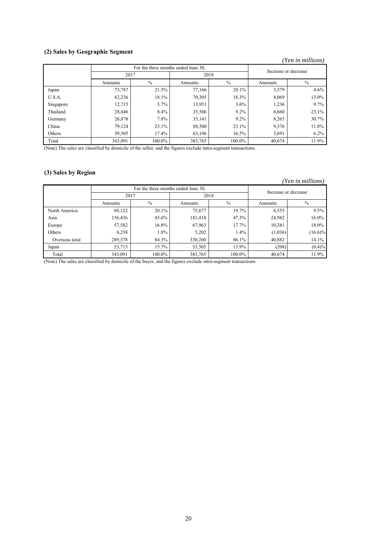## **(2) Sales by Geographic Segment**

#### *(Yen in millions)*

|           | For the three months ended June 30, |               |         |               | Increase or decrease |               |
|-----------|-------------------------------------|---------------|---------|---------------|----------------------|---------------|
|           | 2017                                |               | 2018    |               |                      |               |
|           | Amounts                             | $\frac{0}{0}$ | Amounts | $\frac{0}{0}$ | Amounts              | $\frac{0}{0}$ |
| Japan     | 73,787                              | 21.5%         | 77,166  | 20.1%         | 3,379                | 4.6%          |
| U.S.A.    | 62,236                              | 18.1%         | 70,305  | 18.3%         | 8,069                | 13.0%         |
| Singapore | 12,715                              | 3.7%          | 13,951  | $3.6\%$       | 1,236                | 9.7%          |
| Thailand  | 28,846                              | 8.4%          | 35,506  | $9.2\%$       | 6,660                | 23.1%         |
| Germany   | 26,878                              | 7.8%          | 35,141  | $9.2\%$       | 8,263                | 30.7%         |
| China     | 79,124                              | 23.1%         | 88,500  | 23.1%         | 9,376                | 11.8%         |
| Others    | 59,505                              | 17.4%         | 63,196  | 16.5%         | 3,691                | 6.2%          |
| Total     | 343,091                             | 100.0%        | 383,765 | 100.0%        | 40,674               | 11.9%         |

(Note) The sales are classified by domicile of the seller, and the figures exclude intra-segment transactions.

## **(3) Sales by Region**

### *(Yen in millions)*

|                |         | For the three months ended June 30, |         |               | Increase or decrease |               |
|----------------|---------|-------------------------------------|---------|---------------|----------------------|---------------|
|                | 2017    |                                     | 2018    |               |                      |               |
|                | Amounts | $\%$                                | Amounts | $\frac{0}{0}$ | Amounts              | $\frac{0}{0}$ |
| North America  | 69,122  | 20.1%                               | 75,677  | 19.7%         | 6,555                | $9.5\%$       |
| Asia           | 156,436 | 45.6%                               | 181,418 | 47.3%         | 24,982               | 16.0%         |
| Europe         | 57,582  | 16.8%                               | 67,963  | 17.7%         | 10,381               | 18.0%         |
| Others         | 6,238   | 1.8%                                | 5,202   | $1.4\%$       | (1,036)              | $(16.6)\%$    |
| Overseas total | 289,378 | 84.3%                               | 330,260 | 86.1%         | 40,882               | 14.1%         |
| Japan          | 53,713  | 15.7%                               | 53,505  | 13.9%         | (208)                | $(0.4)\%$     |
| Total          | 343,091 | 100.0%                              | 383,765 | 100.0%        | 40,674               | 11.9%         |

(Note) The sales are classified by domicile of the buyer, and the figures exclude intra-segment transactions.